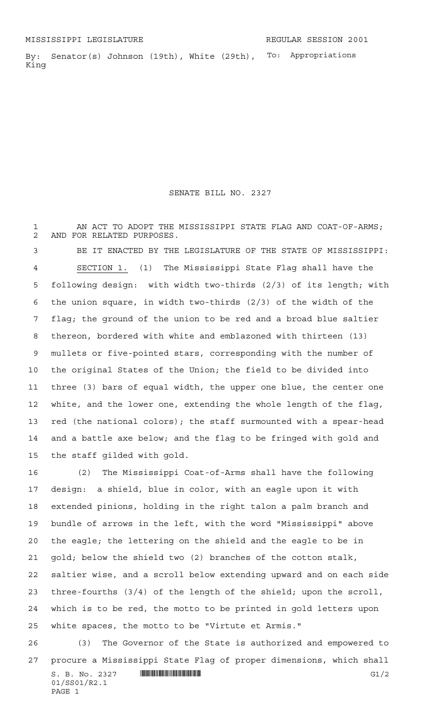the staff gilded with gold.

To: Appropriations By: Senator(s) Johnson (19th), White (29th), King

SENATE BILL NO. 2327

1 AN ACT TO ADOPT THE MISSISSIPPI STATE FLAG AND COAT-OF-ARMS; AND FOR RELATED PURPOSES. BE IT ENACTED BY THE LEGISLATURE OF THE STATE OF MISSISSIPPI: SECTION 1. (1) The Mississippi State Flag shall have the following design: with width two-thirds (2/3) of its length; with the union square, in width two-thirds (2/3) of the width of the flag; the ground of the union to be red and a broad blue saltier thereon, bordered with white and emblazoned with thirteen (13) mullets or five-pointed stars, corresponding with the number of the original States of the Union; the field to be divided into three (3) bars of equal width, the upper one blue, the center one white, and the lower one, extending the whole length of the flag, red (the national colors); the staff surmounted with a spear-head and a battle axe below; and the flag to be fringed with gold and

 (2) The Mississippi Coat-of-Arms shall have the following design: a shield, blue in color, with an eagle upon it with extended pinions, holding in the right talon a palm branch and bundle of arrows in the left, with the word "Mississippi" above the eagle; the lettering on the shield and the eagle to be in gold; below the shield two (2) branches of the cotton stalk, saltier wise, and a scroll below extending upward and on each side three-fourths (3/4) of the length of the shield; upon the scroll, which is to be red, the motto to be printed in gold letters upon white spaces, the motto to be "Virtute et Armis."

S. B. No. 2327 \*SS01/R2.1\* G1/2 01/SS01/R2.1 PAGE 1 (3) The Governor of the State is authorized and empowered to procure a Mississippi State Flag of proper dimensions, which shall